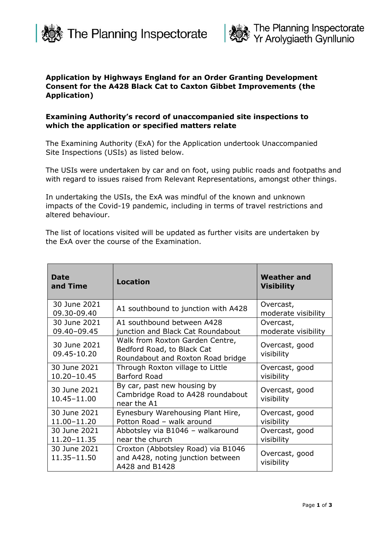



## **Application by Highways England for an Order Granting Development Consent for the A428 Black Cat to Caxton Gibbet Improvements (the Application)**

## **Examining Authority's record of unaccompanied site inspections to which the application or specified matters relate**

The Examining Authority (ExA) for the Application undertook Unaccompanied Site Inspections (USIs) as listed below.

The USIs were undertaken by car and on foot, using public roads and footpaths and with regard to issues raised from Relevant Representations, amongst other things.

In undertaking the USIs, the ExA was mindful of the known and unknown impacts of the Covid-19 pandemic, including in terms of travel restrictions and altered behaviour.

The list of locations visited will be updated as further visits are undertaken by the ExA over the course of the Examination.

| Date<br>and Time                | <b>Location</b>                                                                                    | <b>Weather and</b><br><b>Visibility</b> |
|---------------------------------|----------------------------------------------------------------------------------------------------|-----------------------------------------|
| 30 June 2021<br>09.30-09.40     | A1 southbound to junction with A428                                                                | Overcast,<br>moderate visibility        |
| 30 June 2021<br>09.40-09.45     | A1 southbound between A428<br>junction and Black Cat Roundabout                                    | Overcast,<br>moderate visibility        |
| 30 June 2021<br>09.45-10.20     | Walk from Roxton Garden Centre,<br>Bedford Road, to Black Cat<br>Roundabout and Roxton Road bridge | Overcast, good<br>visibility            |
| 30 June 2021<br>$10.20 - 10.45$ | Through Roxton village to Little<br>Barford Road                                                   | Overcast, good<br>visibility            |
| 30 June 2021<br>10.45-11.00     | By car, past new housing by<br>Cambridge Road to A428 roundabout<br>near the A1                    | Overcast, good<br>visibility            |
| 30 June 2021<br>11.00-11.20     | Eynesbury Warehousing Plant Hire,<br>Potton Road - walk around                                     | Overcast, good<br>visibility            |
| 30 June 2021<br>11.20-11.35     | Abbotsley via B1046 - walkaround<br>near the church                                                | Overcast, good<br>visibility            |
| 30 June 2021<br>11.35-11.50     | Croxton (Abbotsley Road) via B1046<br>and A428, noting junction between<br>A428 and B1428          | Overcast, good<br>visibility            |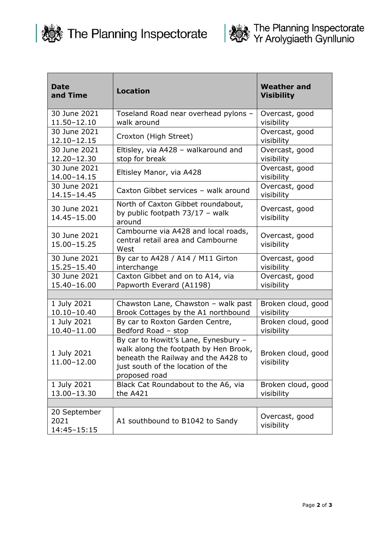

| <b>Date</b><br>and Time             | <b>Location</b>                                                                                                                                                            | <b>Weather and</b><br><b>Visibility</b> |  |
|-------------------------------------|----------------------------------------------------------------------------------------------------------------------------------------------------------------------------|-----------------------------------------|--|
| 30 June 2021<br>11.50-12.10         | Toseland Road near overhead pylons -<br>walk around                                                                                                                        | Overcast, good<br>visibility            |  |
| 30 June 2021<br>12.10-12.15         | Croxton (High Street)                                                                                                                                                      | Overcast, good<br>visibility            |  |
| 30 June 2021<br>12.20-12.30         | Eltisley, via A428 - walkaround and<br>stop for break                                                                                                                      | Overcast, good<br>visibility            |  |
| 30 June 2021<br>14.00-14.15         | Eltisley Manor, via A428                                                                                                                                                   | Overcast, good<br>visibility            |  |
| 30 June 2021<br>14.15-14.45         | Caxton Gibbet services - walk around                                                                                                                                       | Overcast, good<br>visibility            |  |
| 30 June 2021<br>14.45-15.00         | North of Caxton Gibbet roundabout,<br>by public footpath $73/17$ – walk<br>around                                                                                          | Overcast, good<br>visibility            |  |
| 30 June 2021<br>15.00-15.25         | Cambourne via A428 and local roads,<br>central retail area and Cambourne<br>West                                                                                           | Overcast, good<br>visibility            |  |
| 30 June 2021<br>15.25-15.40         | By car to A428 / A14 / M11 Girton<br>interchange                                                                                                                           | Overcast, good<br>visibility            |  |
| 30 June 2021<br>15.40-16.00         | Caxton Gibbet and on to A14, via<br>Papworth Everard (A1198)                                                                                                               | Overcast, good<br>visibility            |  |
|                                     |                                                                                                                                                                            |                                         |  |
| 1 July 2021<br>$10.10 - 10.40$      | Chawston Lane, Chawston - walk past<br>Brook Cottages by the A1 northbound                                                                                                 | Broken cloud, good<br>visibility        |  |
| 1 July 2021<br>$10.40 - 11.00$      | By car to Roxton Garden Centre,<br>Bedford Road - stop                                                                                                                     | Broken cloud, good<br>visibility        |  |
| 1 July 2021<br>11.00-12.00          | By car to Howitt's Lane, Eynesbury -<br>walk along the footpath by Hen Brook,<br>beneath the Railway and the A428 to<br>just south of the location of the<br>proposed road | Broken cloud, good<br>visibility        |  |
| 1 July 2021<br>13.00-13.30          | Black Cat Roundabout to the A6, via<br>the A421                                                                                                                            | Broken cloud, good<br>visibility        |  |
|                                     |                                                                                                                                                                            |                                         |  |
| 20 September<br>2021<br>14:45-15:15 | A1 southbound to B1042 to Sandy                                                                                                                                            | Overcast, good<br>visibility            |  |